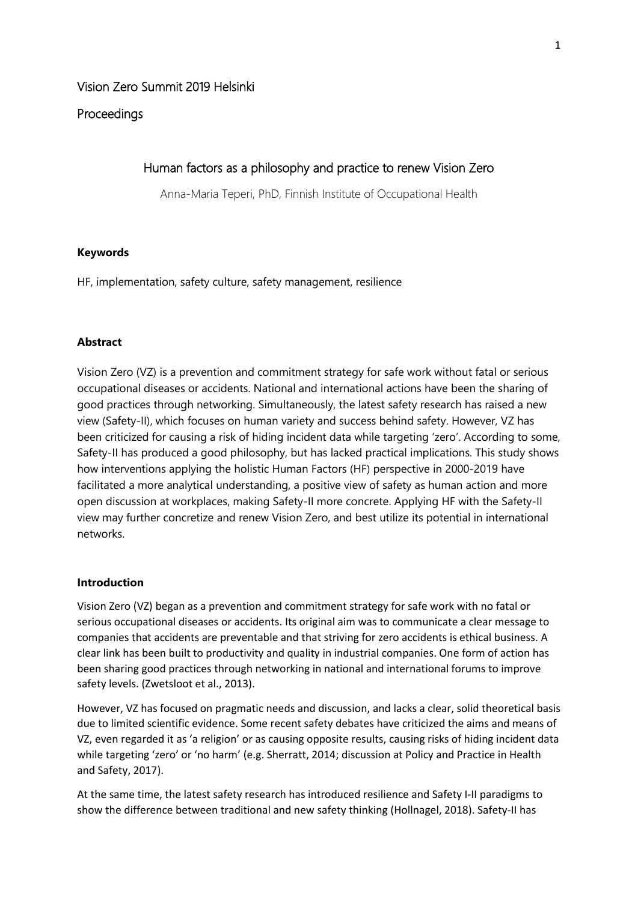## **Proceedings**

# Human factors as a philosophy and practice to renew Vision Zero

Anna-Maria Teperi, PhD, Finnish Institute of Occupational Health

### **Keywords**

HF, implementation, safety culture, safety management, resilience

## **Abstract**

Vision Zero (VZ) is a prevention and commitment strategy for safe work without fatal or serious occupational diseases or accidents. National and international actions have been the sharing of good practices through networking. Simultaneously, the latest safety research has raised a new view (Safety-II), which focuses on human variety and success behind safety. However, VZ has been criticized for causing a risk of hiding incident data while targeting 'zero'. According to some, Safety-II has produced a good philosophy, but has lacked practical implications. This study shows how interventions applying the holistic Human Factors (HF) perspective in 2000-2019 have facilitated a more analytical understanding, a positive view of safety as human action and more open discussion at workplaces, making Safety-II more concrete. Applying HF with the Safety-II view may further concretize and renew Vision Zero, and best utilize its potential in international networks.

### **Introduction**

Vision Zero (VZ) began as a prevention and commitment strategy for safe work with no fatal or serious occupational diseases or accidents. Its original aim was to communicate a clear message to companies that accidents are preventable and that striving for zero accidents is ethical business. A clear link has been built to productivity and quality in industrial companies. One form of action has been sharing good practices through networking in national and international forums to improve safety levels. (Zwetsloot et al., 2013).

However, VZ has focused on pragmatic needs and discussion, and lacks a clear, solid theoretical basis due to limited scientific evidence. Some recent safety debates have criticized the aims and means of VZ, even regarded it as 'a religion' or as causing opposite results, causing risks of hiding incident data while targeting 'zero' or 'no harm' (e.g. Sherratt, 2014; discussion at Policy and Practice in Health and Safety, 2017).

At the same time, the latest safety research has introduced resilience and Safety I-II paradigms to show the difference between traditional and new safety thinking (Hollnagel, 2018). Safety-II has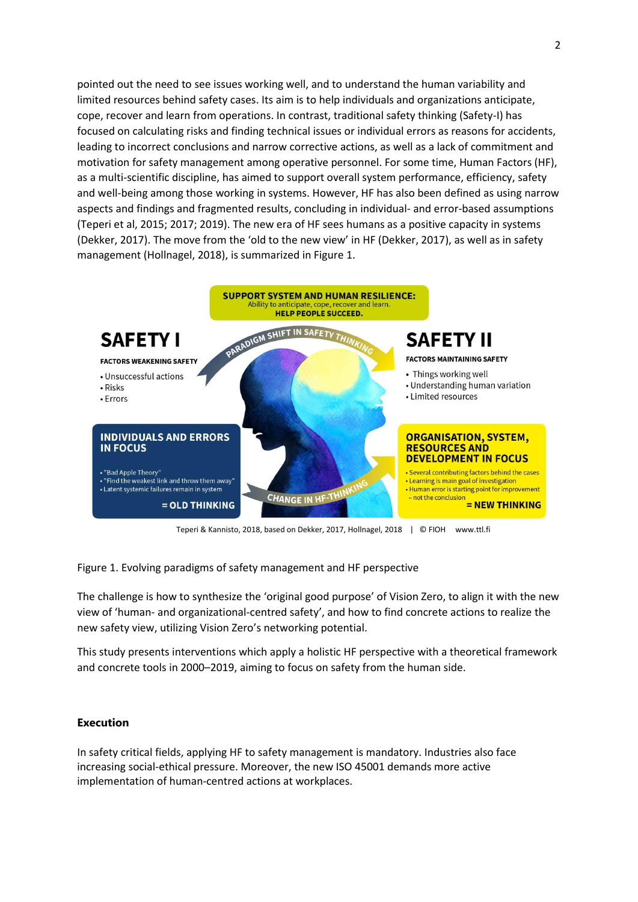pointed out the need to see issues working well, and to understand the human variability and limited resources behind safety cases. Its aim is to help individuals and organizations anticipate, cope, recover and learn from operations. In contrast, traditional safety thinking (Safety-I) has focused on calculating risks and finding technical issues or individual errors as reasons for accidents, leading to incorrect conclusions and narrow corrective actions, as well as a lack of commitment and motivation for safety management among operative personnel. For some time, Human Factors (HF), as a multi-scientific discipline, has aimed to support overall system performance, efficiency, safety and well-being among those working in systems. However, HF has also been defined as using narrow aspects and findings and fragmented results, concluding in individual- and error-based assumptions (Teperi et al, 2015; 2017; 2019). The new era of HF sees humans as a positive capacity in systems (Dekker, 2017). The move from the 'old to the new view' in HF (Dekker, 2017), as well as in safety management (Hollnagel, 2018), is summarized in Figure 1.



Teperi & Kannisto, 2018, based on Dekker, 2017, Hollnagel, 2018 | © FIOH www.ttl.fi

Figure 1. Evolving paradigms of safety management and HF perspective

The challenge is how to synthesize the 'original good purpose' of Vision Zero, to align it with the new view of 'human- and organizational-centred safety', and how to find concrete actions to realize the new safety view, utilizing Vision Zero's networking potential.

This study presents interventions which apply a holistic HF perspective with a theoretical framework and concrete tools in 2000–2019, aiming to focus on safety from the human side.

#### **Execution**

In safety critical fields, applying HF to safety management is mandatory. Industries also face increasing social-ethical pressure. Moreover, the new ISO 45001 demands more active implementation of human-centred actions at workplaces.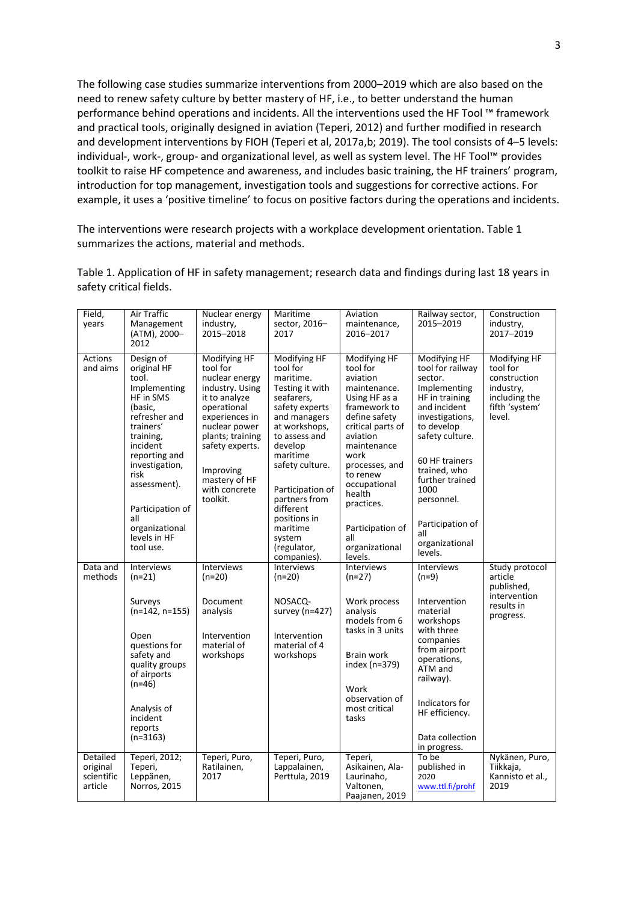The following case studies summarize interventions from 2000–2019 which are also based on the need to renew safety culture by better mastery of HF, i.e., to better understand the human performance behind operations and incidents. All the interventions used the HF Tool ™ framework and practical tools, originally designed in aviation (Teperi, 2012) and further modified in research and development interventions by FIOH (Teperi et al, 2017a,b; 2019). The tool consists of 4–5 levels: individual-, work-, group- and organizational level, as well as system level. The HF Tool™ provides toolkit to raise HF competence and awareness, and includes basic training, the HF trainers' program, introduction for top management, investigation tools and suggestions for corrective actions. For example, it uses a 'positive timeline' to focus on positive factors during the operations and incidents.

The interventions were research projects with a workplace development orientation. Table 1 summarizes the actions, material and methods.

| Table 1. Application of HF in safety management; research data and findings during last 18 years in |  |
|-----------------------------------------------------------------------------------------------------|--|
| safety critical fields.                                                                             |  |

| Field,<br>years                               | Air Traffic<br>Management<br>(ATM), 2000-<br>2012                                                                                                                                                                                                                     | Nuclear energy<br>industry,<br>2015-2018                                                                                                                                                                                           | Maritime<br>sector, 2016-<br>2017                                                                                                                                                                                                                                                                          | Aviation<br>maintenance,<br>2016-2017                                                                                                                                                                                                                                                        | Railway sector,<br>2015-2019                                                                                                                                                                                                                                                         | Construction<br>industry,<br>2017-2019                                                             |
|-----------------------------------------------|-----------------------------------------------------------------------------------------------------------------------------------------------------------------------------------------------------------------------------------------------------------------------|------------------------------------------------------------------------------------------------------------------------------------------------------------------------------------------------------------------------------------|------------------------------------------------------------------------------------------------------------------------------------------------------------------------------------------------------------------------------------------------------------------------------------------------------------|----------------------------------------------------------------------------------------------------------------------------------------------------------------------------------------------------------------------------------------------------------------------------------------------|--------------------------------------------------------------------------------------------------------------------------------------------------------------------------------------------------------------------------------------------------------------------------------------|----------------------------------------------------------------------------------------------------|
| Actions<br>and aims                           | Design of<br>original HF<br>tool.<br>Implementing<br>HF in SMS<br>(basic.<br>refresher and<br>trainers'<br>training,<br>incident<br>reporting and<br>investigation,<br>risk<br>assessment).<br>Participation of<br>all<br>organizational<br>levels in HF<br>tool use. | Modifying HF<br>tool for<br>nuclear energy<br>industry. Using<br>it to analyze<br>operational<br>experiences in<br>nuclear power<br>plants; training<br>safety experts.<br>Improving<br>mastery of HF<br>with concrete<br>toolkit. | Modifying HF<br>tool for<br>maritime.<br>Testing it with<br>seafarers,<br>safety experts<br>and managers<br>at workshops,<br>to assess and<br>develop<br>maritime<br>safety culture.<br>Participation of<br>partners from<br>different<br>positions in<br>maritime<br>system<br>(regulator,<br>companies). | Modifying HF<br>tool for<br>aviation<br>maintenance.<br>Using HF as a<br>framework to<br>define safety<br>critical parts of<br>aviation<br>maintenance<br>work<br>processes, and<br>to renew<br>occupational<br>health<br>practices.<br>Participation of<br>all<br>organizational<br>levels. | Modifying HF<br>tool for railway<br>sector.<br>Implementing<br>HF in training<br>and incident<br>investigations,<br>to develop<br>safety culture.<br>60 HF trainers<br>trained, who<br>further trained<br>1000<br>personnel.<br>Participation of<br>all<br>organizational<br>levels. | Modifying HF<br>tool for<br>construction<br>industry,<br>including the<br>fifth 'system'<br>level. |
| Data and<br>methods                           | Interviews<br>$(n=21)$                                                                                                                                                                                                                                                | <b>Interviews</b><br>$(n=20)$                                                                                                                                                                                                      | <b>Interviews</b><br>(n=20)                                                                                                                                                                                                                                                                                | <b>Interviews</b><br>$(n=27)$                                                                                                                                                                                                                                                                | Interviews<br>$(n=9)$                                                                                                                                                                                                                                                                | Study protocol<br>article<br>published,                                                            |
|                                               | Surveys<br>$(n=142, n=155)$<br>Open<br>questions for<br>safety and<br>quality groups<br>of airports<br>$(n=46)$<br>Analysis of<br>incident<br>reports<br>$(n=3163)$                                                                                                   | Document<br>analysis<br>Intervention<br>material of<br>workshops                                                                                                                                                                   | NOSACO-<br>survey (n=427)<br>Intervention<br>material of 4<br>workshops                                                                                                                                                                                                                                    | Work process<br>analysis<br>models from 6<br>tasks in 3 units<br>Brain work<br>index (n=379)<br>Work<br>observation of<br>most critical<br>tasks                                                                                                                                             | Intervention<br>material<br>workshops<br>with three<br>companies<br>from airport<br>operations,<br>ATM and<br>railway).<br>Indicators for<br>HF efficiency.<br>Data collection<br>in progress.                                                                                       | intervention<br>results in<br>progress.                                                            |
| Detailed<br>original<br>scientific<br>article | Teperi, 2012;<br>Teperi,<br>Leppänen,<br>Norros, 2015                                                                                                                                                                                                                 | Teperi, Puro,<br>Ratilainen,<br>2017                                                                                                                                                                                               | Teperi, Puro,<br>Lappalainen,<br>Perttula, 2019                                                                                                                                                                                                                                                            | Teperi,<br>Asikainen, Ala-<br>Laurinaho,<br>Valtonen,<br>Paajanen, 2019                                                                                                                                                                                                                      | To be<br>published in<br>2020<br>www.ttl.fi/prohf                                                                                                                                                                                                                                    | Nykänen, Puro,<br>Tiikkaja,<br>Kannisto et al.,<br>2019                                            |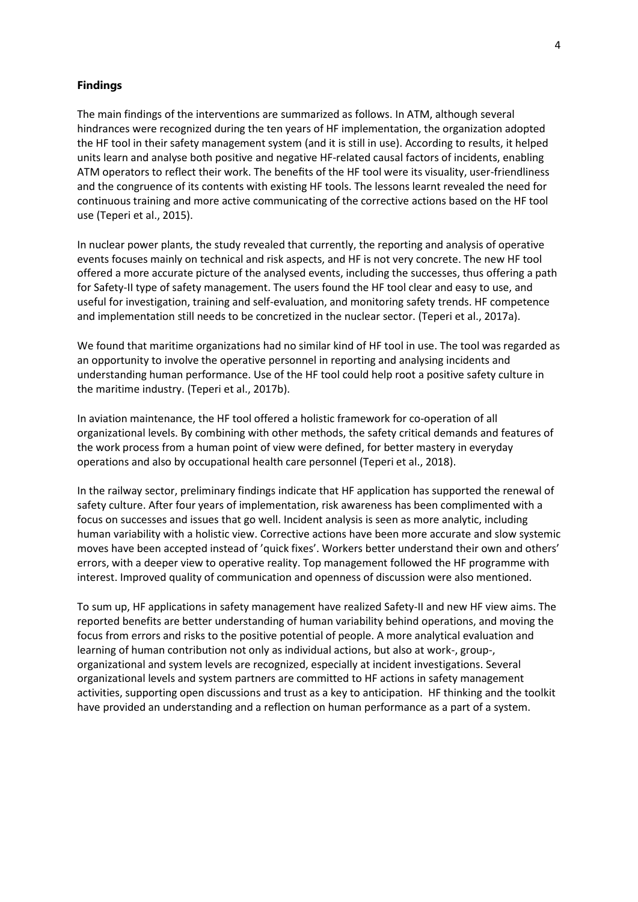#### **Findings**

The main findings of the interventions are summarized as follows. In ATM, although several hindrances were recognized during the ten years of HF implementation, the organization adopted the HF tool in their safety management system (and it is still in use). According to results, it helped units learn and analyse both positive and negative HF-related causal factors of incidents, enabling ATM operators to reflect their work. The benefits of the HF tool were its visuality, user-friendliness and the congruence of its contents with existing HF tools. The lessons learnt revealed the need for continuous training and more active communicating of the corrective actions based on the HF tool use (Teperi et al., 2015).

In nuclear power plants, the study revealed that currently, the reporting and analysis of operative events focuses mainly on technical and risk aspects, and HF is not very concrete. The new HF tool offered a more accurate picture of the analysed events, including the successes, thus offering a path for Safety-II type of safety management. The users found the HF tool clear and easy to use, and useful for investigation, training and self-evaluation, and monitoring safety trends. HF competence and implementation still needs to be concretized in the nuclear sector. (Teperi et al., 2017a).

We found that maritime organizations had no similar kind of HF tool in use. The tool was regarded as an opportunity to involve the operative personnel in reporting and analysing incidents and understanding human performance. Use of the HF tool could help root a positive safety culture in the maritime industry. (Teperi et al., 2017b).

In aviation maintenance, the HF tool offered a holistic framework for co-operation of all organizational levels. By combining with other methods, the safety critical demands and features of the work process from a human point of view were defined, for better mastery in everyday operations and also by occupational health care personnel (Teperi et al., 2018).

In the railway sector, preliminary findings indicate that HF application has supported the renewal of safety culture. After four years of implementation, risk awareness has been complimented with a focus on successes and issues that go well. Incident analysis is seen as more analytic, including human variability with a holistic view. Corrective actions have been more accurate and slow systemic moves have been accepted instead of 'quick fixes'. Workers better understand their own and others' errors, with a deeper view to operative reality. Top management followed the HF programme with interest. Improved quality of communication and openness of discussion were also mentioned.

To sum up, HF applications in safety management have realized Safety-II and new HF view aims. The reported benefits are better understanding of human variability behind operations, and moving the focus from errors and risks to the positive potential of people. A more analytical evaluation and learning of human contribution not only as individual actions, but also at work-, group-, organizational and system levels are recognized, especially at incident investigations. Several organizational levels and system partners are committed to HF actions in safety management activities, supporting open discussions and trust as a key to anticipation. HF thinking and the toolkit have provided an understanding and a reflection on human performance as a part of a system.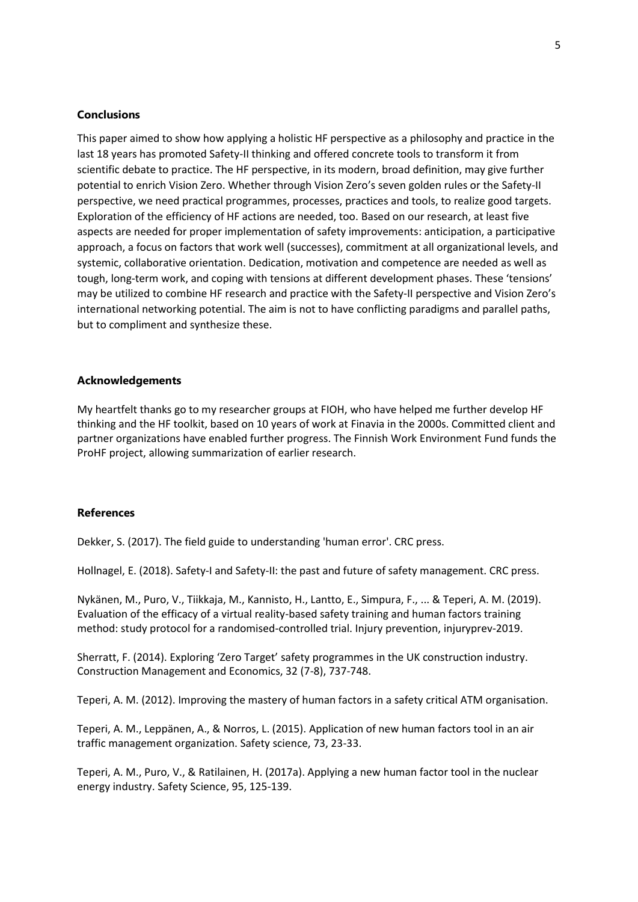#### **Conclusions**

This paper aimed to show how applying a holistic HF perspective as a philosophy and practice in the last 18 years has promoted Safety-II thinking and offered concrete tools to transform it from scientific debate to practice. The HF perspective, in its modern, broad definition, may give further potential to enrich Vision Zero. Whether through Vision Zero's seven golden rules or the Safety-II perspective, we need practical programmes, processes, practices and tools, to realize good targets. Exploration of the efficiency of HF actions are needed, too. Based on our research, at least five aspects are needed for proper implementation of safety improvements: anticipation, a participative approach, a focus on factors that work well (successes), commitment at all organizational levels, and systemic, collaborative orientation. Dedication, motivation and competence are needed as well as tough, long-term work, and coping with tensions at different development phases. These 'tensions' may be utilized to combine HF research and practice with the Safety-II perspective and Vision Zero's international networking potential. The aim is not to have conflicting paradigms and parallel paths, but to compliment and synthesize these.

#### **Acknowledgements**

My heartfelt thanks go to my researcher groups at FIOH, who have helped me further develop HF thinking and the HF toolkit, based on 10 years of work at Finavia in the 2000s. Committed client and partner organizations have enabled further progress. The Finnish Work Environment Fund funds the ProHF project, allowing summarization of earlier research.

#### **References**

Dekker, S. (2017). The field guide to understanding 'human error'. CRC press.

Hollnagel, E. (2018). Safety-I and Safety-II: the past and future of safety management. CRC press.

Nykänen, M., Puro, V., Tiikkaja, M., Kannisto, H., Lantto, E., Simpura, F., ... & Teperi, A. M. (2019). Evaluation of the efficacy of a virtual reality-based safety training and human factors training method: study protocol for a randomised-controlled trial. Injury prevention, injuryprev-2019.

Sherratt, F. (2014). Exploring 'Zero Target' safety programmes in the UK construction industry. Construction Management and Economics, 32 (7-8), 737-748.

Teperi, A. M. (2012). Improving the mastery of human factors in a safety critical ATM organisation.

Teperi, A. M., Leppänen, A., & Norros, L. (2015). Application of new human factors tool in an air traffic management organization. Safety science, 73, 23-33.

Teperi, A. M., Puro, V., & Ratilainen, H. (2017a). Applying a new human factor tool in the nuclear energy industry. Safety Science, 95, 125-139.